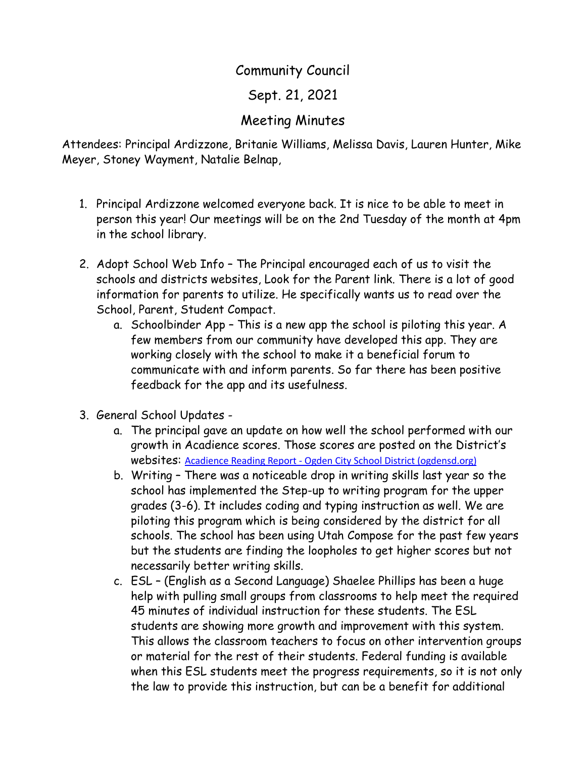## Community Council

Sept. 21, 2021

## Meeting Minutes

Attendees: Principal Ardizzone, Britanie Williams, Melissa Davis, Lauren Hunter, Mike Meyer, Stoney Wayment, Natalie Belnap,

- 1. Principal Ardizzone welcomed everyone back. It is nice to be able to meet in person this year! Our meetings will be on the 2nd Tuesday of the month at 4pm in the school library.
- 2. Adopt School Web Info The Principal encouraged each of us to visit the schools and districts websites, Look for the Parent link. There is a lot of good information for parents to utilize. He specifically wants us to read over the School, Parent, Student Compact.
	- a. Schoolbinder App This is a new app the school is piloting this year. A few members from our community have developed this app. They are working closely with the school to make it a beneficial forum to communicate with and inform parents. So far there has been positive feedback for the app and its usefulness.
- 3. General School Updates
	- a. The principal gave an update on how well the school performed with our growth in Acadience scores. Those scores are posted on the District's websites: Acadience Reading Report - Ogden City School District [\(ogdensd.org\)](https://www.ogdensd.org/departments/assessment/acadience-reading-report)
	- b. Writing There was a noticeable drop in writing skills last year so the school has implemented the Step-up to writing program for the upper grades (3-6). It includes coding and typing instruction as well. We are piloting this program which is being considered by the district for all schools. The school has been using Utah Compose for the past few years but the students are finding the loopholes to get higher scores but not necessarily better writing skills.
	- c. ESL (English as a Second Language) Shaelee Phillips has been a huge help with pulling small groups from classrooms to help meet the required 45 minutes of individual instruction for these students. The ESL students are showing more growth and improvement with this system. This allows the classroom teachers to focus on other intervention groups or material for the rest of their students. Federal funding is available when this ESL students meet the progress requirements, so it is not only the law to provide this instruction, but can be a benefit for additional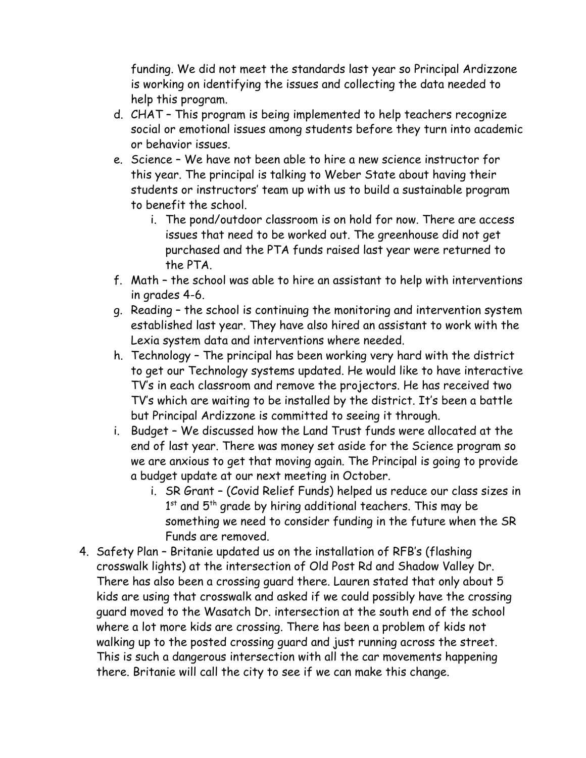funding. We did not meet the standards last year so Principal Ardizzone is working on identifying the issues and collecting the data needed to help this program.

- d. CHAT This program is being implemented to help teachers recognize social or emotional issues among students before they turn into academic or behavior issues.
- e. Science We have not been able to hire a new science instructor for this year. The principal is talking to Weber State about having their students or instructors' team up with us to build a sustainable program to benefit the school.
	- i. The pond/outdoor classroom is on hold for now. There are access issues that need to be worked out. The greenhouse did not get purchased and the PTA funds raised last year were returned to the PTA.
- f. Math the school was able to hire an assistant to help with interventions in grades 4-6.
- g. Reading the school is continuing the monitoring and intervention system established last year. They have also hired an assistant to work with the Lexia system data and interventions where needed.
- h. Technology The principal has been working very hard with the district to get our Technology systems updated. He would like to have interactive TV's in each classroom and remove the projectors. He has received two TV's which are waiting to be installed by the district. It's been a battle but Principal Ardizzone is committed to seeing it through.
- i. Budget We discussed how the Land Trust funds were allocated at the end of last year. There was money set aside for the Science program so we are anxious to get that moving again. The Principal is going to provide a budget update at our next meeting in October.
	- i. SR Grant (Covid Relief Funds) helped us reduce our class sizes in  $1<sup>st</sup>$  and  $5<sup>th</sup>$  grade by hiring additional teachers. This may be something we need to consider funding in the future when the SR Funds are removed.
- 4. Safety Plan Britanie updated us on the installation of RFB's (flashing crosswalk lights) at the intersection of Old Post Rd and Shadow Valley Dr. There has also been a crossing guard there. Lauren stated that only about 5 kids are using that crosswalk and asked if we could possibly have the crossing guard moved to the Wasatch Dr. intersection at the south end of the school where a lot more kids are crossing. There has been a problem of kids not walking up to the posted crossing guard and just running across the street. This is such a dangerous intersection with all the car movements happening there. Britanie will call the city to see if we can make this change.